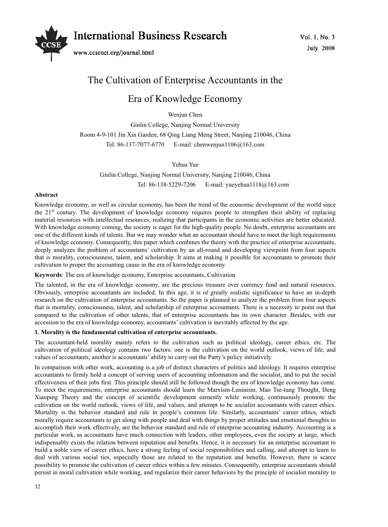

# The Cultivation of Enterprise Accountants in the

## Era of Knowledge Economy

Wenjun Chen

Ginlin College, Nanjing Normal University Room 4-9-101 Jin Xin Garden, 68 Qing Liang Meng Street, Nanjing 210046, China Tel: 86-137-7077-6770 E-mail: chenwenjun1106@163.com

## Yehua Yue

Ginlin College, Nanjing Normal University, Nanjing 210046, China Tel: 86-138-5229-7206 E-mail: yueyehua1118@163.com

### **Abstract**

Knowledge economy, as well as circular economy, has been the trend of the economic development of the world since the 21st century. The development of knowledge economy requires people to strengthen their ability of replacing material resources with intellectual resources, realizing that participants in the economic activities are better educated. With knowledge economy coming, the society is eager for the high-quality people. No doubt, enterprise accountants are one of the different kinds of talents. But we may wonder what an accountant should have to meet the high requirements of knowledge economy. Consequently, this paper which combines the theory with the practice of enterprise accountants, deeply analyzes the problem of accountants' cultivation by an all-round and developing viewpoint from four aspects that is morality, consciousness, talent, and scholarship. It aims at making it possible for accountants to promote their cultivation to proper the accounting cause in the era of knowledge economy.

**Keywords**: The era of knowledge economy, Enterprise accountants, Cultivation

The talented, in the era of knowledge economy, are the precious treasure over currency fund and natural resources. Obviously, enterprise accountants are included. In this age, it is of greatly realistic significance to have an in-depth research on the cultivation of enterprise accountants. So the paper is planned to analyze the problem from four aspects that is mortality, consciousness, talent, and scholarship of enterprise accountants. There is a necessity to point out that compared to the cultivation of other talents, that of enterprise accountants has its own character. Besides, with our accession to the era of knowledge economy, accountants' cultivation is inevitably affected by the age.

## **1. Morality is the fundamental cultivation of enterprise accountants.**

The accountant-held morality mainly refers to the cultivation such as political ideology, career ethics, etc. The cultivation of political ideology contains two factors: one is the cultivation on the world outlook, views of life, and values of accountants; another is accountants' ability to carry out the Party's policy initiatively.

In comparison with other work, accounting is a job of distinct characters of politics and ideology. It requires enterprise accountants to firmly hold a concept of serving users of accounting information and the socialist, and to put the social effectiveness of their jobs first. This principle should still be followed though the era of knowledge economy has come. To meet the requirements, enterprise accountants should learn the Marxism-Leninism, Mao Tse-tung Thought, Deng Xiaoping Theory and the concept of scientific development earnestly while working, continuously promote the cultivation on the world outlook, views of life, and values, and attempt to be socialist accountants with career ethics. Mortality is the behavior standard and rule in people's common life. Similarly, accountants' career ethics, which morally require accountants to get along with people and deal with things by proper attitudes and emotional thoughts to accomplish their work effectively, are the behavior standard and rule of enterprise accounting industry. Accounting is a particular work, as accountants have much connection with leaders, other employees, even the society at large, which indispensably exists the relation between reputation and benefits. Hence, it is necessary for an enterprise accountant to build a noble view of career ethics, have a strong feeling of social responsibilities and calling, and attempt to learn to deal with various social ties, especially those are related to the reputation and benefits. However, there is scarce possibility to promote the cultivation of career ethics within a few minutes. Consequently, enterprise accountants should persist in moral cultivation while working, and regularize their career behaviors by the principle of socialist morality to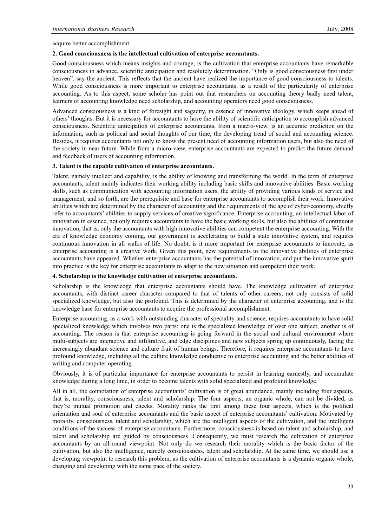acquire better accomplishment.

#### **2. Good consciousness is the intellectual cultivation of enterprise accountants.**

Good consciousness which means insights and courage, is the cultivation that enterprise accountants have remarkable consciousness in advance, scientific anticipation and resolutely determination. "Only is good consciousness first under heaven", say the ancient. This reflects that the ancient have realized the importance of good consciousness to talents. While good consciousness is more important to enterprise accountants, as a result of the particularity of enterprise accounting. As to this aspect, some scholar has point out that researchers on accounting theory badly need talent, learners of accounting knowledge need scholarship, and accounting operators need good consciousness.

Advanced consciousness is a kind of foresight and sagacity, in essence of innovative ideology, which keeps ahead of others' thoughts. But it is necessary for accountants to have the ability of scientific anticipation to accomplish advanced consciousness. Scientific anticipation of enterprise accountants, from a macro-view, is an accurate prediction on the information, such as political and social thoughts of our time, the developing trend of social and accounting science. Besides, it requires accountants not only to know the present need of accounting information users, but also the need of the society in near future. While from a micro-view, enterprise accountants are expected to predict the future demand and feedback of users of accounting information.

#### **3. Talent is the capable cultivation of enterprise accountants.**

Talent, namely intellect and capability, is the ability of knowing and transforming the world. In the term of enterprise accountants, talent mainly indicates their working ability including basic skills and innovative abilities. Basic working skills, such as communication with accounting information users, the ability of providing various kinds of service and management, and so forth, are the prerequisite and base for enterprise accountants to accomplish their work. Innovative abilities which are determined by the character of accounting and the requirements of the age of cyber-economy, chiefly refer to accountants' abilities to supply services of creative significance. Enterprise accounting, an intellectual labor of innovation in essence, not only requires accountants to have the basic working skills, but also the abilities of continuous innovation, that is, only the accountants with high innovative abilities can competent the enterprise accounting. With the era of knowledge economy coming, our government is accelerating to build a state innovative system, and requires continuous innovation in all walks of life. No doubt, is it more important for enterprise accountants to innovate, as enterprise accounting is a creative work. Given this point, new requirements to the innovative abilities of enterprise accountants have appeared. Whether enterprise accountants has the potential of innovation, and put the innovative spirit into practice is the key for enterprise accountants to adapt to the new situation and competent their work.

#### **4. Scholarship is the knowledge cultivation of enterprise accountants.**

Scholarship is the knowledge that enterprise accountants should have. The knowledge cultivation of enterprise accountants, with distinct career character compared to that of talents of other careers, not only consists of solid specialized knowledge, but also the profound. This is determined by the character of enterprise accounting, and is the knowledge base for enterprise accountants to acquire the professional accomplishment.

Enterprise accounting, as a work with outstanding character of speciality and science, requires accountants to have solid specialized knowledge which involves two parts: one is the specialized knowledge of over one subject, another is of accounting. The reason is that enterprise accounting is going forward in the social and cultural environment where multi-subjects are interactive and infiltrative, and edge disciplines and new subjects spring up continuously, facing the increasingly abundant science and culture fruit of human beings. Therefore, it requires enterprise accountants to have profound knowledge, including all the culture knowledge conductive to enterprise accounting and the better abilities of writing and computer operating.

Obviously, it is of particular importance for enterprise accountants to persist in learning earnestly, and accumulate knowledge during a long time, in order to become talents with solid specialized and profound knowledge.

All in all, the connotation of enterprise accountants' cultivation is of great abundance, mainly including four aspects, that is, morality, consciousness, talent and scholarship. The four aspects, an organic whole, can not be divided, as they're mutual promotion and checks. Morality ranks the first among these four aspects, which is the political orientation and soul of enterprise accountants and the basic aspect of enterprise accountants' cultivation. Motivated by morality, consciousness, talent and scholarship, which are the intelligent aspects of the cultivation, and the intelligent conditions of the success of enterprise accountants. Furthermore, consciousness is based on talent and scholarship, and talent and scholarship are guided by consciousness. Consequently, we must research the cultivation of enterprise accountants by an all-round viewpoint. Not only do we research their morality which is the basic factor of the cultivation, but also the intelligence, namely consciousness, talent and scholarship. At the same time, we should use a developing viewpoint to research this problem, as the cultivation of enterprise accountants is a dynamic organic whole, changing and developing with the same pace of the society.